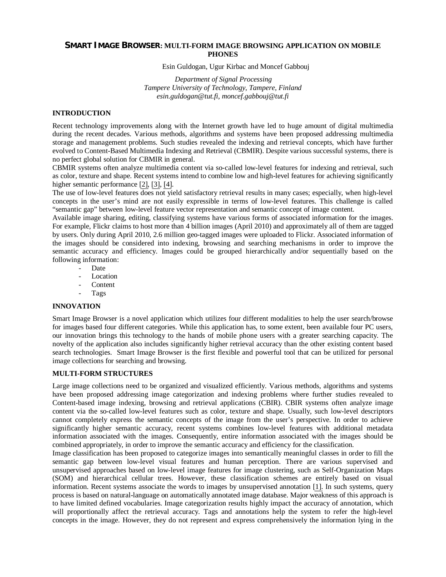## **SMART IMAGE BROWSER: MULTI-FORM IMAGE BROWSING APPLICATION ON MOBILE PHONES**

Esin Guldogan, Ugur Kirbac and Moncef Gabbouj

*Department of Signal Processing Tampere University of Technology, Tampere, Finland esin.guldogan@tut.fi, moncef.gabbouj@tut.fi* 

### **INTRODUCTION**

Recent technology improvements along with the Internet growth have led to huge amount of digital multimedia during the recent decades. Various methods, algorithms and systems have been proposed addressing multimedia storage and management problems. Such studies revealed the indexing and retrieval concepts, which have further evolved to Content-Based Multimedia Indexing and Retrieval (CBMIR). Despite various successful systems, there is no perfect global solution for CBMIR in general.

CBMIR systems often analyze multimedia content via so-called low-level features for indexing and retrieval, such as color, texture and shape. Recent systems intend to combine low and high-level features for achieving significantly higher semantic performance [\[2\],](#page-2-0) [\[3\],](#page-2-1) [\[4\]](#page-2-2).

The use of low-level features does not yield satisfactory retrieval results in many cases; especially, when high-level concepts in the user's mind are not easily expressible in terms of low-level features. This challenge is called "semantic gap" between low-level feature vector representation and semantic concept of image content.

Available image sharing, editing, classifying systems have various forms of associated information for the images. For example, Flickr claims to host more than 4 billion images (April 2010) and approximately all of them are tagged by users. Only during April 2010, 2.6 million geo-tagged images were uploaded to Flickr. Associated information of the images should be considered into indexing, browsing and searching mechanisms in order to improve the semantic accuracy and efficiency. Images could be grouped hierarchically and/or sequentially based on the following information:

- Date
- **Location**
- **Content**
- Tags

#### **INNOVATION**

Smart Image Browser is a novel application which utilizes four different modalities to help the user search/browse for images based four different categories. While this application has, to some extent, been available four PC users, our innovation brings this technology to the hands of mobile phone users with a greater searching capacity. The novelty of the application also includes significantly higher retrieval accuracy than the other existing content based search technologies. Smart Image Browser is the first flexible and powerful tool that can be utilized for personal image collections for searching and browsing.

### **MULTI-FORM STRUCTURES**

Large image collections need to be organized and visualized efficiently. Various methods, algorithms and systems have been proposed addressing image categorization and indexing problems where further studies revealed to Content-based image indexing, browsing and retrieval applications (CBIR). CBIR systems often analyze image content via the so-called low-level features such as color, texture and shape. Usually, such low-level descriptors cannot completely express the semantic concepts of the image from the user's perspective. In order to achieve significantly higher semantic accuracy, recent systems combines low-level features with additional metadata information associated with the images. Consequently, entire information associated with the images should be combined appropriately, in order to improve the semantic accuracy and efficiency for the classification.

Image classification has been proposed to categorize images into semantically meaningful classes in order to fill the semantic gap between low-level visual features and human perception. There are various supervised and unsupervised approaches based on low-level image features for image clustering, such as Self-Organization Maps (SOM) and hierarchical cellular trees. However, these classification schemes are entirely based on visual information. Recent systems associate the words to images by unsupervised annotation [\[1\].](#page-2-3) In such systems, query process is based on natural-language on automatically annotated image database. Major weakness of this approach is to have limited defined vocabularies. Image categorization results highly impact the accuracy of annotation, which will proportionally affect the retrieval accuracy. Tags and annotations help the system to refer the high-level concepts in the image. However, they do not represent and express comprehensively the information lying in the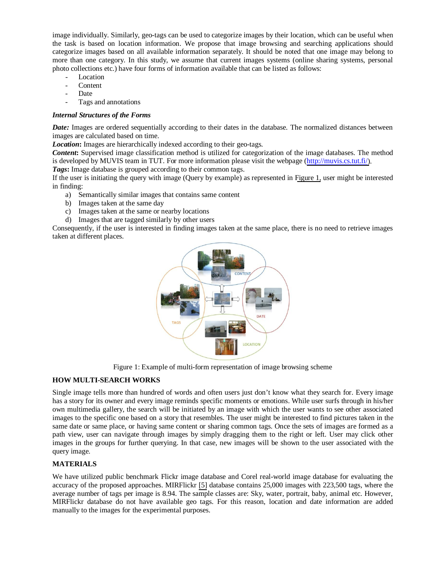image individually. Similarly, geo-tags can be used to categorize images by their location, which can be useful when the task is based on location information. We propose that image browsing and searching applications should categorize images based on all available information separately. It should be noted that one image may belong to more than one category. In this study, we assume that current images systems (online sharing systems, personal photo collections etc.) have four forms of information available that can be listed as follows:

- Location
- **Content**
- Date
- Tags and annotations

## *Internal Structures of the Forms*

*Date:* Images are ordered sequentially according to their dates in the database. The normalized distances between images are calculated based on time.

*Location*: Images are hierarchically indexed according to their geo-tags.

*Content***:** Supervised image classification method is utilized for categorization of the image databases. The method is developed by MUVIS team in TUT. For more information please visit the webpage ([http://muvis.cs.tut.fi/\)](http://muvis.cs.tut.fi/).

*Tags***:** Image database is grouped according to their common tags.

If the user is initiating the query with image (Query by example) as represented in [Figure 1,](#page-1-0) user might be interested in finding:

- a) Semantically similar images that contains same content
- b) Images taken at the same day
- c) Images taken at the same or nearby locations
- d) Images that are tagged similarly by other users

Consequently, if the user is interested in finding images taken at the same place, there is no need to retrieve images taken at different places.



<span id="page-1-0"></span>Figure 1: Example of multi-form representation of image browsing scheme

## **HOW MULTI-SEARCH WORKS**

Single image tells more than hundred of words and often users just don't know what they search for. Every image has a story for its owner and every image reminds specific moments or emotions. While user surfs through in his/her own multimedia gallery, the search will be initiated by an image with which the user wants to see other associated images to the specific one based on a story that resembles. The user might be interested to find pictures taken in the same date or same place, or having same content or sharing common tags. Once the sets of images are formed as a path view, user can navigate through images by simply dragging them to the right or left. User may click other images in the groups for further querying. In that case, new images will be shown to the user associated with the query image.

# **MATERIALS**

We have utilized public benchmark Flickr image database and Corel real-world image database for evaluating the accuracy of the proposed approaches. MIRFlickr [\[5\]](#page-2-4) database contains 25,000 images with 223,500 tags, where the average number of tags per image is 8.94. The sample classes are: Sky, water, portrait, baby, animal etc. However, MIRFlickr database do not have available geo tags. For this reason, location and date information are added manually to the images for the experimental purposes.